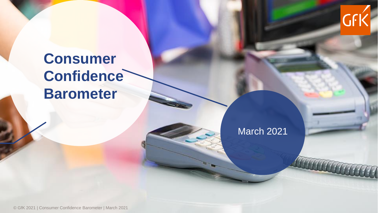

## **Consumer Confidence Barometer**

March 2021

© GfK 2021 | Consumer Confidence Barometer | March 2021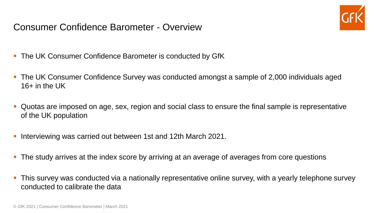Consumer Confidence Barometer - Overview



- **.** The UK Consumer Confidence Barometer is conducted by GfK
- The UK Consumer Confidence Survey was conducted amongst a sample of 2,000 individuals aged  $16+$  in the UK
- Quotas are imposed on age, sex, region and social class to ensure the final sample is representative of the UK population
- Interviewing was carried out between 1st and 12th March 2021.
- **•** The study arrives at the index score by arriving at an average of averages from core questions
- **•** This survey was conducted via a nationally representative online survey, with a yearly telephone survey conducted to calibrate the data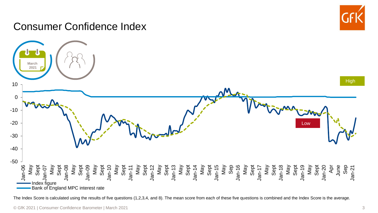

### Consumer Confidence Index



The Index Score is calculated using the results of five questions (1,2,3,4, and 8). The mean score from each of these five questions is combined and the Index Score is the average.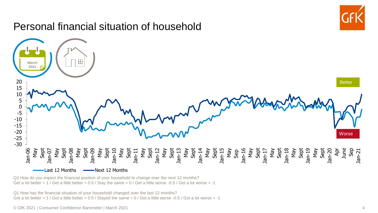

#### Q2 How do you expect the financial position of your household to change over the next 12 months? Get a lot better =  $1$  / Get a little better = 0.5 / Stay the same =  $0$  / Get a little worse -0.5 / Get a lot worse = -1

Q1 How has the financial situation of your household changed over the last 12 months? Got a lot better =  $1 /$  Got a little better = 0.5 / Stayed the same = 0 / Got a little worse -0.5 / Got a lot worse = -1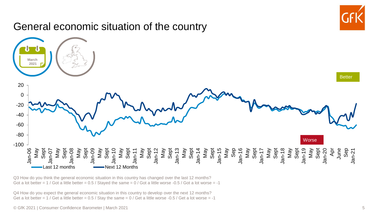

Q3 How do you think the general economic situation in this country has changed over the last 12 months? Got a lot better =  $1$  / Got a little better =  $0.5$  / Stayed the same =  $0$  / Got a little worse -0.5 / Got a lot worse = -1

Q4 How do you expect the general economic situation in this country to develop over the next 12 months? Get a lot better =  $1$  / Get a little better = 0.5 / Stay the same =  $0$  / Get a little worse -0.5 / Get a lot worse = -1

© GfK 2021 | Consumer Confidence Barometer | March 2021 5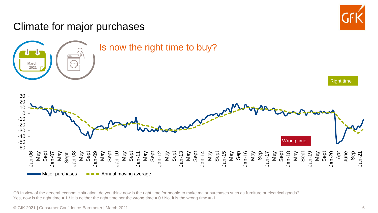#### Climate for major purchases Right time Wrong time Jan-06 May Sept Jan-07 May Sept Jan-08 May Sept Jan-09 May Sept Jan-10 May Sept Jan-11 May Sept Jan-12 May Sept Jan-13 May Sept Jan-14 May Sept Jan-15 May Sep Jan-16 May Sep Jan-17 May Sept Jan-18 May Sept Jan-19 May Sept Jan-20 Apr June Sep Jan-21 -60 -50 -40 -30 -20 -10 0 10 20 30  $\blacksquare$ Major purchases  $\blacksquare$   $\blacksquare$   $\blacksquare$  Annual moving average Is now the right time to buy? **March 2021**

Q8 In view of the general economic situation, do you think now is the right time for people to make major purchases such as furniture or electrical goods? Yes, now is the right time  $= 1$  / It is neither the right time nor the wrong time  $= 0$  / No, it is the wrong time  $= -1$